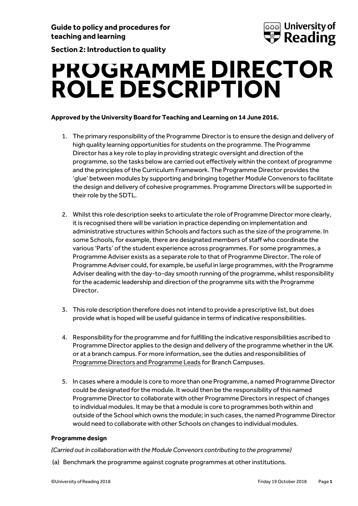**Section 2: Introduction to quality**



**PROGRAMME DIRECTOR ROLE DESCRIPTION**

# **Approved by the University Board for Teaching and Learning on 14 June 2016.**

- 1. The primary responsibility of the Programme Director is to ensure the design and delivery of high quality learning opportunities for students on the programme. The Programme Director has a key role to play in providing strategic oversight and direction of the programme, so the tasks below are carried out effectively within the context of programme and the principles of the Curriculum Framework. The Programme Director provides the 'glue' between modules by supporting and bringing together Module Convenors to facilitate the design and delivery of cohesive programmes. Programme Directors will be supported in their role by the SDTL.
- 2. Whilst this role description seeks to articulate the role of Programme Director more clearly, it is recognised there will be variation in practice depending on implementation and administrative structures within Schools and factors such as the size of the programme. In some Schools, for example, there are designated members of staff who coordinate the various 'Parts' of the student experience across programmes. For some programmes, a Programme Adviser exists as a separate role to that of Programme Director. The role of Programme Adviser could, for example, be useful in large programmes, with the Programme Adviser dealing with the day-to-day smooth running of the programme, whilst responsibility for the academic leadership and direction of the programme sits with the Programme Director.
- 3. This role description therefore does not intend to provide a prescriptive list, but does provide what is hoped will be useful guidance in terms of indicative responsibilities.
- 4. Responsibility for the programme and for fulfilling the indicative responsibilities ascribed to Programme Director applies to the design and delivery of the programme whether in the UK or at a branch campus. For more information, see the duties and responsibilities of [Programme Directors and Programme Leads](https://www.reading.ac.uk/web/FILES/qualitysupport/programmedirectorleadrolesresponsibilities.pdf) for Branch Campuses.
- 5. In cases where a module is core to more than one Programme, a named Programme Director could be designated for the module. It would then be the responsibility of this named Programme Director to collaborate with other Programme Directors in respect of changes to individual modules. It may be that a module is core to programmes both within and outside of the School which owns the module; in such cases, the named Programme Director would need to collaborate with other Schools on changes to individual modules.

# **Programme design**

#### *(Carried out in collaboration with the Module Convenors contributing to the programme)*

(a) Benchmark the programme against cognate programmes at other institutions.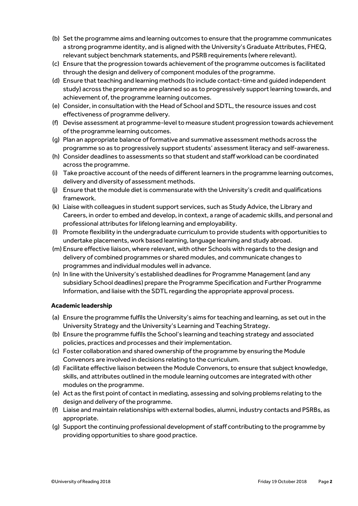- (b) Set the programme aims and learning outcomes to ensure that the programme communicates a strong programme identity, and is aligned with the University's Graduate Attributes, FHEQ, relevant subject benchmark statements, and PSRB requirements (where relevant).
- (c) Ensure that the progression towards achievement of the programme outcomes is facilitated through the design and delivery of component modules of the programme.
- (d) Ensure that teaching and learning methods (to include contact-time and guided independent study) across the programme are planned so as to progressively support learning towards, and achievement of, the programme learning outcomes.
- (e) Consider, in consultation with the Head of School and SDTL, the resource issues and cost effectiveness of programme delivery.
- (f) Devise assessment at programme-level to measure student progression towards achievement of the programme learning outcomes.
- (g) Plan an appropriate balance of formative and summative assessment methods across the programme so as to progressively support students' assessment literacy and self-awareness.
- (h) Consider deadlines to assessments so that student and staff workload can be coordinated across the programme.
- (i) Take proactive account of the needs of different learners in the programme learning outcomes, delivery and diversity of assessment methods.
- (j) Ensure that the module diet is commensurate with the University's credit and qualifications framework.
- (k) Liaise with colleagues in student support services, such as Study Advice, the Library and Careers, in order to embed and develop, in context, a range of academic skills, and personal and professional attributes for lifelong learning and employability.
- (l) Promote flexibility in the undergraduate curriculum to provide students with opportunities to undertake placements, work based learning, language learning and study abroad.
- (m) Ensure effective liaison, where relevant, with other Schools with regards to the design and delivery of combined programmes or shared modules, and communicate changes to programmes and individual modules well in advance.
- (n) In line with the University's established deadlines for Programme Management (and any subsidiary School deadlines) prepare the Programme Specification and Further Programme Information, and liaise with the SDTL regarding the appropriate approval process.

# **Academic leadership**

- (a) Ensure the programme fulfils the University's aims for teaching and learning, as set out in the University Strategy and the University's Learning and Teaching Strategy.
- (b) Ensure the programme fulfils the School's learning and teaching strategy and associated policies, practices and processes and their implementation.
- (c) Foster collaboration and shared ownership of the programme by ensuring the Module Convenors are involved in decisions relating to the curriculum.
- (d) Facilitate effective liaison between the Module Convenors, to ensure that subject knowledge, skills, and attributes outlined in the module learning outcomes are integrated with other modules on the programme.
- (e) Act as the first point of contact in mediating, assessing and solving problems relating to the design and delivery of the programme.
- (f) Liaise and maintain relationships with external bodies, alumni, industry contacts and PSRBs, as appropriate.
- (g) Support the continuing professional development of staff contributing to the programme by providing opportunities to share good practice.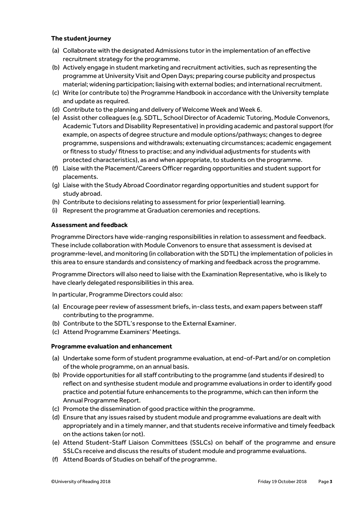### **The student journey**

- (a) Collaborate with the designated Admissions tutor in the implementation of an effective recruitment strategy for the programme.
- (b) Actively engage in student marketing and recruitment activities, such as representing the programme at University Visit and Open Days; preparing course publicity and prospectus material; widening participation; liaising with external bodies; and international recruitment.
- (c) Write (or contribute to) the Programme Handbook in accordance with the University template and update as required.
- (d) Contribute to the planning and delivery of Welcome Week and Week 6.
- (e) Assist other colleagues (e.g. SDTL, School Director of Academic Tutoring, Module Convenors, Academic Tutors and Disability Representative) in providing academic and pastoral support (for example, on aspects of degree structure and module options/pathways; changes to degree programme, suspensions and withdrawals; extenuating circumstances; academic engagement or fitness to study/ fitness to practise; and any individual adjustments for students with protected characteristics), as and when appropriate, to students on the programme.
- (f) Liaise with the Placement/Careers Officer regarding opportunities and student support for placements.
- (g) Liaise with the Study Abroad Coordinator regarding opportunities and student support for study abroad.
- (h) Contribute to decisions relating to assessment for prior (experiential) learning.
- (i) Represent the programme at Graduation ceremonies and receptions.

### **Assessment and feedback**

Programme Directors have wide-ranging responsibilities in relation to assessment and feedback. These include collaboration with Module Convenors to ensure that assessment is devised at programme-level, and monitoring (in collaboration with the SDTL) the implementation of policies in this area to ensure standards and consistency of marking and feedback across the programme.

Programme Directors will also need to liaise with the Examination Representative, who is likely to have clearly delegated responsibilities in this area.

In particular, Programme Directors could also:

- (a) Encourage peer review of assessment briefs, in-class tests, and exam papers between staff contributing to the programme.
- (b) Contribute to the SDTL's response to the External Examiner.
- (c) Attend Programme Examiners' Meetings.

# **Programme evaluation and enhancement**

- (a) Undertake some form of student programme evaluation, at end-of-Part and/or on completion of the whole programme, on an annual basis.
- (b) Provide opportunities for all staff contributing to the programme (and students if desired) to reflect on and synthesise student module and programme evaluations in order to identify good practice and potential future enhancements to the programme, which can then inform the Annual Programme Report.
- (c) Promote the dissemination of good practice within the programme.
- (d) Ensure that any issues raised by student module and programme evaluations are dealt with appropriately and in a timely manner, and that students receive informative and timely feedback on the actions taken (or not).
- (e) Attend Student-Staff Liaison Committees (SSLCs) on behalf of the programme and ensure SSLCs receive and discuss the results of student module and programme evaluations.
- (f) Attend Boards of Studies on behalf of the programme.